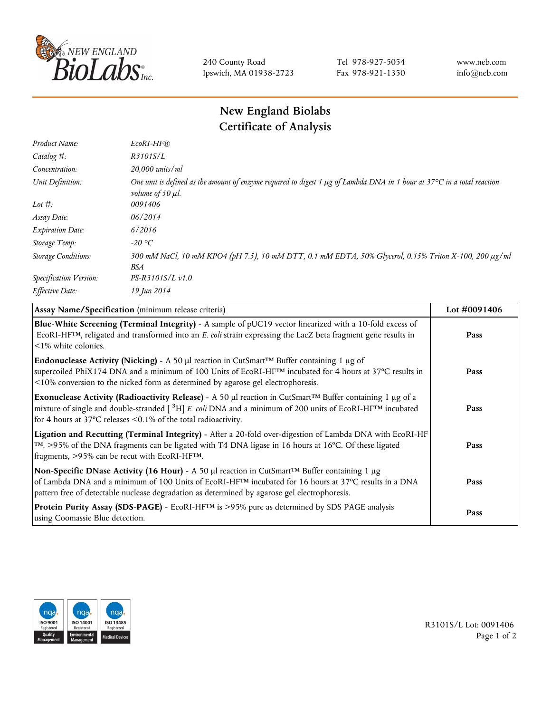

240 County Road Ipswich, MA 01938-2723 Tel 978-927-5054 Fax 978-921-1350 www.neb.com info@neb.com

## **New England Biolabs Certificate of Analysis**

| $EcoRI-HF$ $R$                                                                                                                                                    |
|-------------------------------------------------------------------------------------------------------------------------------------------------------------------|
| R3101S/L                                                                                                                                                          |
| 20,000 units/ml                                                                                                                                                   |
| One unit is defined as the amount of enzyme required to digest 1 µg of Lambda DNA in 1 hour at 37°C in a total reaction<br><i>volume of 50 <math>\mu</math>l.</i> |
| 0091406                                                                                                                                                           |
| 06/2014                                                                                                                                                           |
| 6/2016                                                                                                                                                            |
| $-20$ °C                                                                                                                                                          |
| 300 mM NaCl, 10 mM KPO4 (pH 7.5), 10 mM DTT, 0.1 mM EDTA, 50% Glycerol, 0.15% Triton X-100, 200 µg/ml<br><b>BSA</b>                                               |
| $PS-R3101S/L \nu 1.0$                                                                                                                                             |
| 19 Jun 2014                                                                                                                                                       |
|                                                                                                                                                                   |

| Assay Name/Specification (minimum release criteria)                                                                                                                                                                                                                                                             | Lot #0091406 |
|-----------------------------------------------------------------------------------------------------------------------------------------------------------------------------------------------------------------------------------------------------------------------------------------------------------------|--------------|
| Blue-White Screening (Terminal Integrity) - A sample of pUC19 vector linearized with a 10-fold excess of<br>ECORI-HFTM, religated and transformed into an E. coli strain expressing the LacZ beta fragment gene results in<br>$\leq$ 1% white colonies.                                                         | Pass         |
| Endonuclease Activity (Nicking) - A 50 µl reaction in CutSmart™ Buffer containing 1 µg of<br>supercoiled PhiX174 DNA and a minimum of 100 Units of EcoRI-HFTM incubated for 4 hours at 37°C results in<br><10% conversion to the nicked form as determined by agarose gel electrophoresis.                      | Pass         |
| Exonuclease Activity (Radioactivity Release) - A 50 µl reaction in CutSmart™ Buffer containing 1 µg of a<br>mixture of single and double-stranded [ <sup>3</sup> H] E. coli DNA and a minimum of 200 units of EcoRI-HFTM incubated<br>for 4 hours at 37 $^{\circ}$ C releases <0.1% of the total radioactivity. | Pass         |
| Ligation and Recutting (Terminal Integrity) - After a 20-fold over-digestion of Lambda DNA with EcoRI-HF<br>TM, >95% of the DNA fragments can be ligated with T4 DNA ligase in 16 hours at 16°C. Of these ligated<br>fragments, >95% can be recut with EcoRI-HFTM.                                              | Pass         |
| Non-Specific DNase Activity (16 Hour) - A 50 µl reaction in CutSmart™ Buffer containing 1 µg<br>of Lambda DNA and a minimum of 100 Units of EcoRI-HFTM incubated for 16 hours at 37°C results in a DNA<br>pattern free of detectable nuclease degradation as determined by agarose gel electrophoresis.         | Pass         |
| Protein Purity Assay (SDS-PAGE) - EcoRI-HF <sup>TM</sup> is >95% pure as determined by SDS PAGE analysis<br>using Coomassie Blue detection.                                                                                                                                                                     | Pass         |



R3101S/L Lot: 0091406 Page 1 of 2